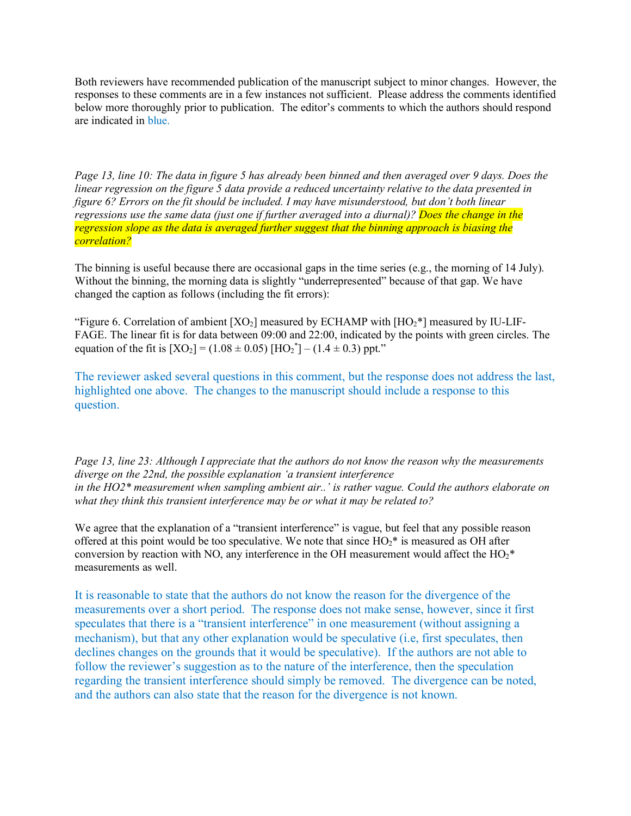Both reviewers have recommended publication of the manuscript subject to minor changes. However, the responses to these comments are in a few instances not sufficient. Please address the comments identified below more thoroughly prior to publication. The editor's comments to which the authors should respond are indicated in blue.

*Page 13, line 10: The data in figure 5 has already been binned and then averaged over 9 days. Does the linear regression on the figure 5 data provide a reduced uncertainty relative to the data presented in figure 6? Errors on the fit should be included. I may have misunderstood, but don't both linear regressions use the same data (just one if further averaged into a diurnal)? Does the change in the regression slope as the data is averaged further suggest that the binning approach is biasing the correlation?*

The binning is useful because there are occasional gaps in the time series (e.g., the morning of 14 July). Without the binning, the morning data is slightly "underrepresented" because of that gap. We have changed the caption as follows (including the fit errors):

"Figure 6. Correlation of ambient  $[XO_2]$  measured by ECHAMP with  $[HO_2^*]$  measured by IU-LIF-FAGE. The linear fit is for data between 09:00 and 22:00, indicated by the points with green circles. The equation of the fit is  $[XO_2] = (1.08 \pm 0.05) [HO_2^*] - (1.4 \pm 0.3)$  ppt."

The reviewer asked several questions in this comment, but the response does not address the last, highlighted one above. The changes to the manuscript should include a response to this question.

*Page 13, line 23: Although I appreciate that the authors do not know the reason why the measurements diverge on the 22nd, the possible explanation 'a transient interference in the HO2\* measurement when sampling ambient air..' is rather vague. Could the authors elaborate on what they think this transient interference may be or what it may be related to?* 

We agree that the explanation of a "transient interference" is vague, but feel that any possible reason offered at this point would be too speculative. We note that since  $HO<sub>2</sub><sup>*</sup>$  is measured as OH after conversion by reaction with NO, any interference in the OH measurement would affect the  $HO_2^*$ measurements as well.

It is reasonable to state that the authors do not know the reason for the divergence of the measurements over a short period. The response does not make sense, however, since it first speculates that there is a "transient interference" in one measurement (without assigning a mechanism), but that any other explanation would be speculative (i.e, first speculates, then declines changes on the grounds that it would be speculative). If the authors are not able to follow the reviewer's suggestion as to the nature of the interference, then the speculation regarding the transient interference should simply be removed. The divergence can be noted, and the authors can also state that the reason for the divergence is not known.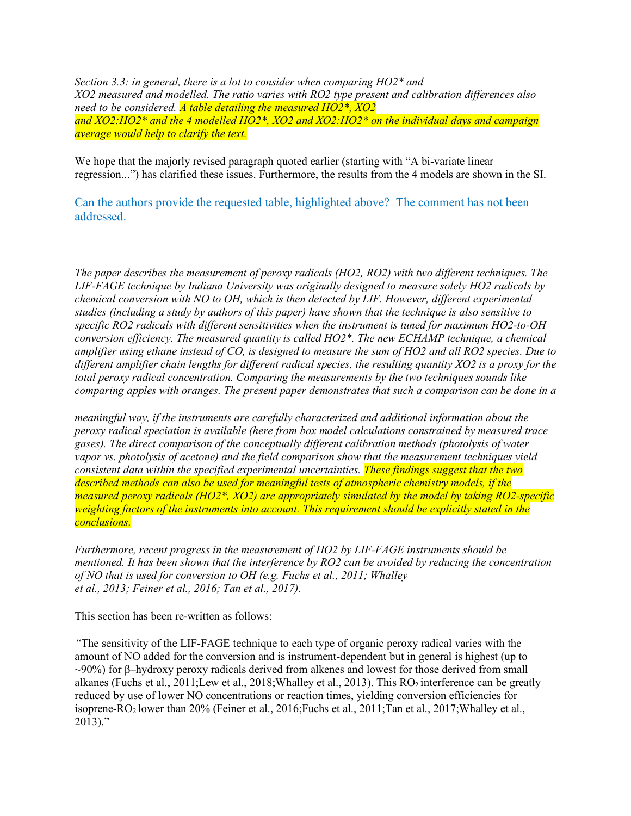*Section 3.3: in general, there is a lot to consider when comparing HO2\* and XO2 measured and modelled. The ratio varies with RO2 type present and calibration differences also need to be considered. A table detailing the measured HO2\*, XO2 and XO2:HO2\* and the 4 modelled HO2\*, XO2 and XO2:HO2\* on the individual days and campaign average would help to clarify the text.*

We hope that the majorly revised paragraph quoted earlier (starting with "A bi-variate linear regression...") has clarified these issues. Furthermore, the results from the 4 models are shown in the SI.

Can the authors provide the requested table, highlighted above? The comment has not been addressed.

*The paper describes the measurement of peroxy radicals (HO2, RO2) with two different techniques. The LIF-FAGE technique by Indiana University was originally designed to measure solely HO2 radicals by chemical conversion with NO to OH, which is then detected by LIF. However, different experimental studies (including a study by authors of this paper) have shown that the technique is also sensitive to specific RO2 radicals with different sensitivities when the instrument is tuned for maximum HO2-to-OH conversion efficiency. The measured quantity is called HO2\*. The new ECHAMP technique, a chemical amplifier using ethane instead of CO, is designed to measure the sum of HO2 and all RO2 species. Due to different amplifier chain lengths for different radical species, the resulting quantity XO2 is a proxy for the total peroxy radical concentration. Comparing the measurements by the two techniques sounds like comparing apples with oranges. The present paper demonstrates that such a comparison can be done in a* 

*meaningful way, if the instruments are carefully characterized and additional information about the peroxy radical speciation is available (here from box model calculations constrained by measured trace gases). The direct comparison of the conceptually different calibration methods (photolysis of water vapor vs. photolysis of acetone) and the field comparison show that the measurement techniques yield consistent data within the specified experimental uncertainties. These findings suggest that the two described methods can also be used for meaningful tests of atmospheric chemistry models, if the measured peroxy radicals (HO2\*, XO2) are appropriately simulated by the model by taking RO2-specific weighting factors of the instruments into account. This requirement should be explicitly stated in the conclusions.*

*Furthermore, recent progress in the measurement of HO2 by LIF-FAGE instruments should be mentioned. It has been shown that the interference by RO2 can be avoided by reducing the concentration of NO that is used for conversion to OH (e.g. Fuchs et al., 2011; Whalley et al., 2013; Feiner et al., 2016; Tan et al., 2017).* 

This section has been re-written as follows:

*"*The sensitivity of the LIF-FAGE technique to each type of organic peroxy radical varies with the amount of NO added for the conversion and is instrument-dependent but in general is highest (up to  $\sim$ 90%) for β–hydroxy peroxy radicals derived from alkenes and lowest for those derived from small alkanes (Fuchs et al., 2011; Lew et al., 2018; Whalley et al., 2013). This RO<sub>2</sub> interference can be greatly reduced by use of lower NO concentrations or reaction times, yielding conversion efficiencies for isoprene-RO2 lower than 20% (Feiner et al., 2016;Fuchs et al., 2011;Tan et al., 2017;Whalley et al.,  $2013$ ."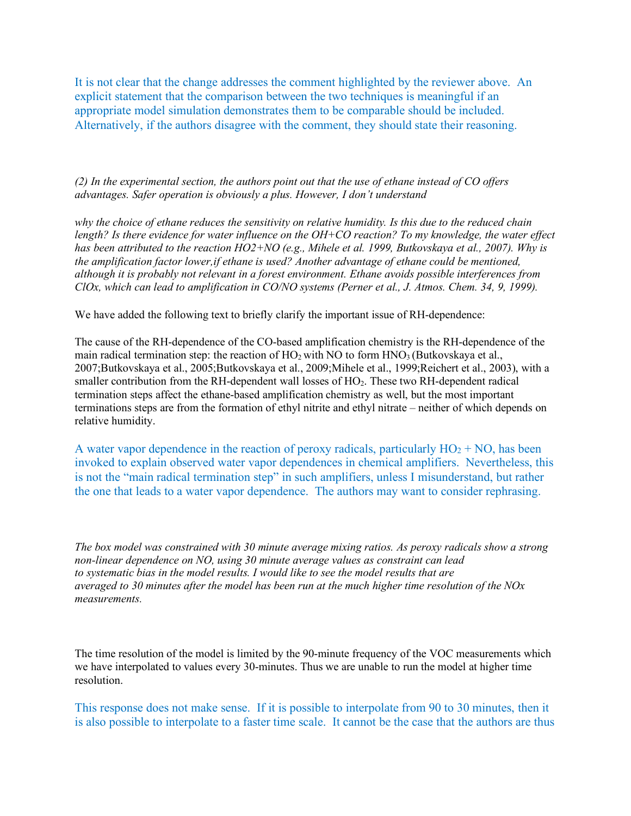It is not clear that the change addresses the comment highlighted by the reviewer above. An explicit statement that the comparison between the two techniques is meaningful if an appropriate model simulation demonstrates them to be comparable should be included. Alternatively, if the authors disagree with the comment, they should state their reasoning.

*(2) In the experimental section, the authors point out that the use of ethane instead of CO offers advantages. Safer operation is obviously a plus. However, I don't understand* 

*why the choice of ethane reduces the sensitivity on relative humidity. Is this due to the reduced chain length? Is there evidence for water influence on the OH+CO reaction? To my knowledge, the water effect has been attributed to the reaction HO2+NO (e.g., Mihele et al. 1999, Butkovskaya et al., 2007). Why is the amplification factor lower,if ethane is used? Another advantage of ethane could be mentioned, although it is probably not relevant in a forest environment. Ethane avoids possible interferences from ClOx, which can lead to amplification in CO/NO systems (Perner et al., J. Atmos. Chem. 34, 9, 1999).* 

We have added the following text to briefly clarify the important issue of RH-dependence:

The cause of the RH-dependence of the CO-based amplification chemistry is the RH-dependence of the main radical termination step: the reaction of  $HO_2$  with NO to form  $HNO_3$  (Butkovskaya et al., 2007;Butkovskaya et al., 2005;Butkovskaya et al., 2009;Mihele et al., 1999;Reichert et al., 2003), with a smaller contribution from the RH-dependent wall losses of HO<sub>2</sub>. These two RH-dependent radical termination steps affect the ethane-based amplification chemistry as well, but the most important terminations steps are from the formation of ethyl nitrite and ethyl nitrate – neither of which depends on relative humidity.

A water vapor dependence in the reaction of peroxy radicals, particularly  $HO_2 + NO$ , has been invoked to explain observed water vapor dependences in chemical amplifiers. Nevertheless, this is not the "main radical termination step" in such amplifiers, unless I misunderstand, but rather the one that leads to a water vapor dependence. The authors may want to consider rephrasing.

*The box model was constrained with 30 minute average mixing ratios. As peroxy radicals show a strong non-linear dependence on NO, using 30 minute average values as constraint can lead to systematic bias in the model results. I would like to see the model results that are averaged to 30 minutes after the model has been run at the much higher time resolution of the NOx measurements.* 

The time resolution of the model is limited by the 90-minute frequency of the VOC measurements which we have interpolated to values every 30-minutes. Thus we are unable to run the model at higher time resolution.

This response does not make sense. If it is possible to interpolate from 90 to 30 minutes, then it is also possible to interpolate to a faster time scale. It cannot be the case that the authors are thus